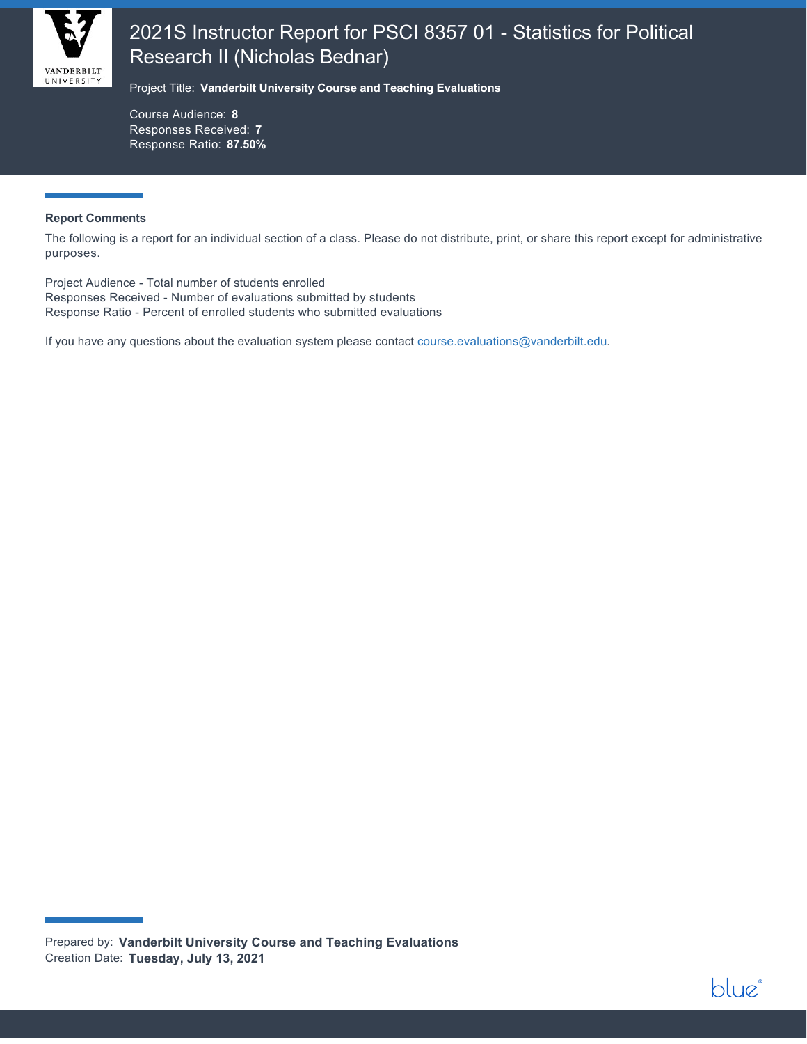

## 2021S Instructor Report for PSCI 8357 01 - Statistics for Political Research II (Nicholas Bednar)

Project Title: **Vanderbilt University Course and Teaching Evaluations**

Course Audience: **8** Responses Received: **7** Response Ratio: **87.50%**

#### **Report Comments**

The following is a report for an individual section of a class. Please do not distribute, print, or share this report except for administrative purposes.

Project Audience - Total number of students enrolled Responses Received - Number of evaluations submitted by students Response Ratio - Percent of enrolled students who submitted evaluations

If you have any questions about the evaluation system please contact [course.evaluations@vanderbilt.edu.](mailto:course.evaluations@vanderbilt.edu)

Prepared by: **Vanderbilt University Course and Teaching Evaluations** Creation Date: **Tuesday, July 13, 2021**

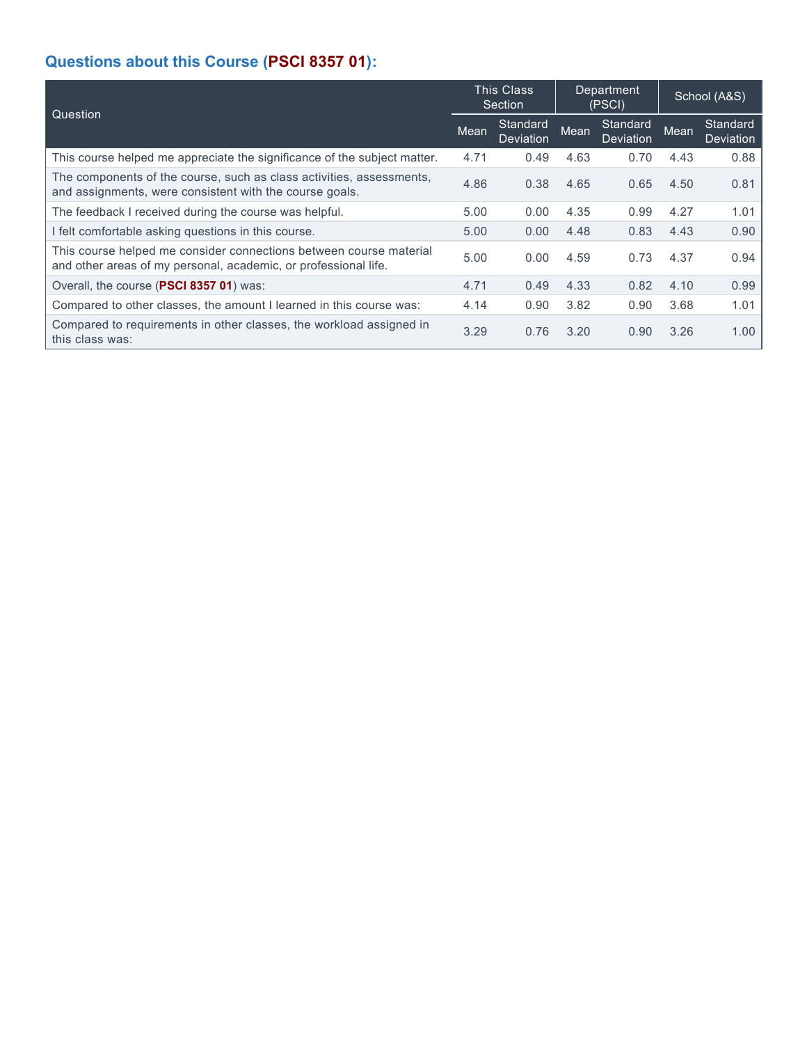## **Questions about this Course (PSCI 8357 01):**

| Question                                                                                                                              |      | <b>This Class</b><br>Section | Department<br>(PSCI) |                              | School (A&S) |                              |
|---------------------------------------------------------------------------------------------------------------------------------------|------|------------------------------|----------------------|------------------------------|--------------|------------------------------|
|                                                                                                                                       |      | Standard<br>Deviation        | Mean                 | Standard<br><b>Deviation</b> | Mean         | Standard<br><b>Deviation</b> |
| This course helped me appreciate the significance of the subject matter.                                                              | 4.71 | 0.49                         | 4.63                 | 0.70                         | 4.43         | 0.88                         |
| The components of the course, such as class activities, assessments,<br>and assignments, were consistent with the course goals.       | 4.86 | 0.38                         | 4.65                 | 0.65                         | 4.50         | 0.81                         |
| The feedback I received during the course was helpful.                                                                                | 5.00 | 0.00                         | 4.35                 | 0.99                         | 4.27         | 1.01                         |
| I felt comfortable asking questions in this course.                                                                                   | 5.00 | 0.00                         | 4.48                 | 0.83                         | 4.43         | 0.90                         |
| This course helped me consider connections between course material<br>and other areas of my personal, academic, or professional life. | 5.00 | 0.00                         | 4.59                 | 0.73                         | 4.37         | 0.94                         |
| Overall, the course (PSCI 8357 01) was:                                                                                               | 4.71 | 0.49                         | 4.33                 | 0.82                         | 4.10         | 0.99                         |
| Compared to other classes, the amount I learned in this course was:                                                                   | 4.14 | 0.90                         | 3.82                 | 0.90                         | 3.68         | 1.01                         |
| Compared to requirements in other classes, the workload assigned in<br>this class was:                                                | 3.29 | 0.76                         | 3.20                 | 0.90                         | 3.26         | 1.00                         |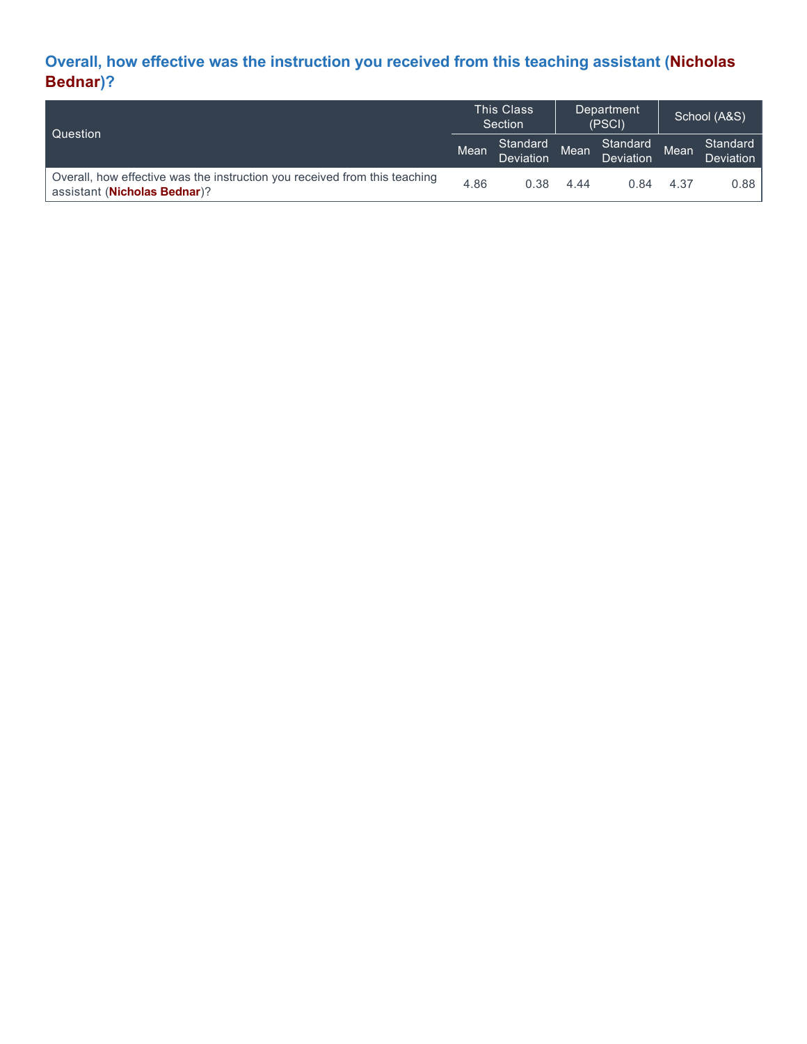## **Overall, how effective was the instruction you received from this teaching assistant (Nicholas Bednar)?**

| l Question                                                                                                          | <b>This Class</b><br>Section |                       | Department<br>(PSCI) |                       | School (A&S) |                              |
|---------------------------------------------------------------------------------------------------------------------|------------------------------|-----------------------|----------------------|-----------------------|--------------|------------------------------|
|                                                                                                                     | Mean                         | Standard<br>Deviation | Mean                 | Standard<br>Deviation | Mean         | Standard<br><b>Deviation</b> |
| Overall, how effective was the instruction you received from this teaching<br>assistant ( <b>Nicholas Bednar</b> )? | 4.86                         | 0.38                  | 4.44                 | 0.84                  | 4.37         | 0.88                         |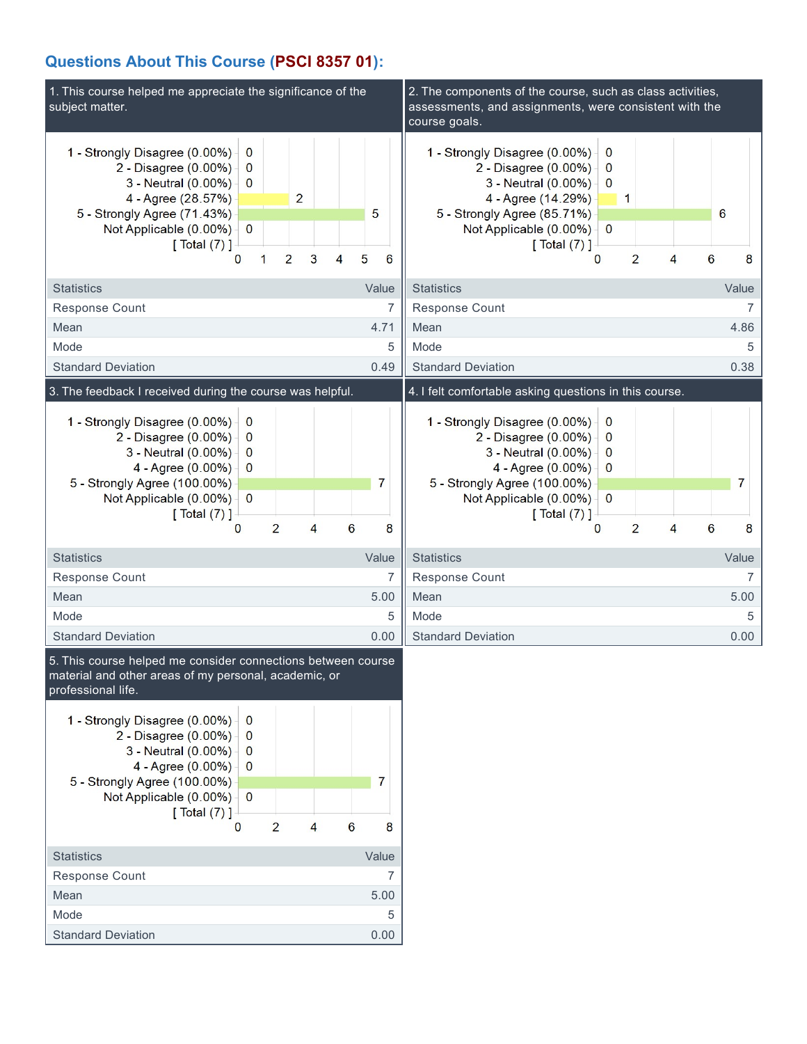### **Questions About This Course (PSCI 8357 01):**

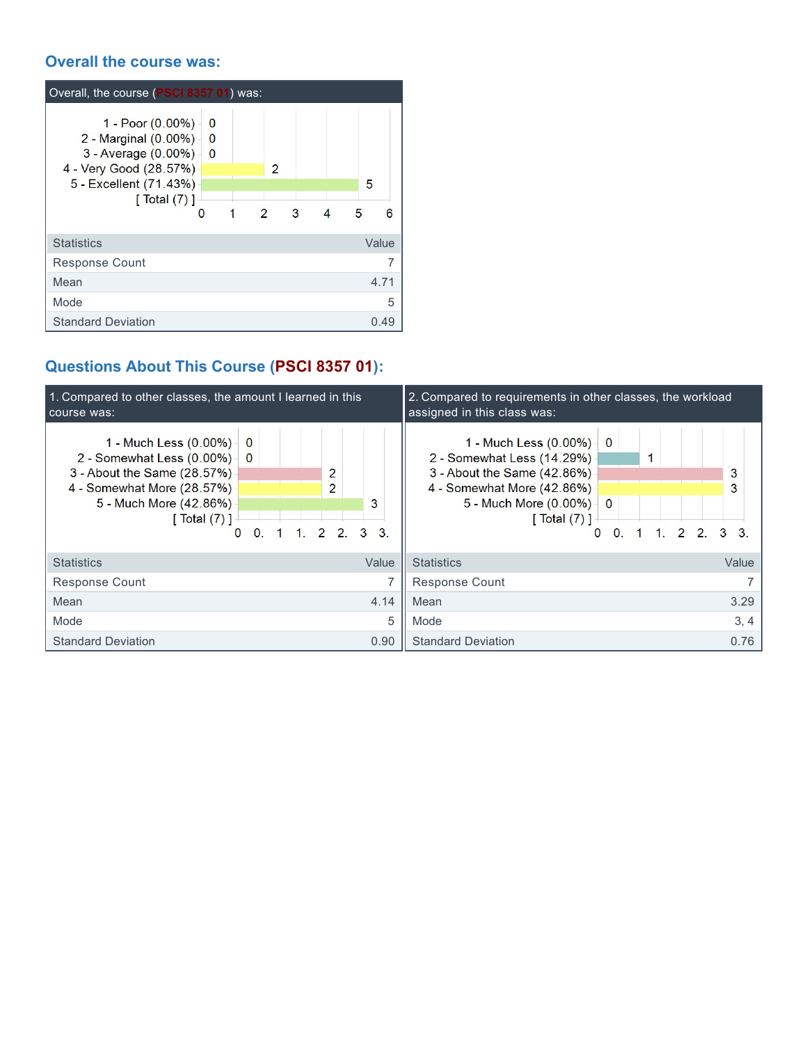### **Overall the course was:**

| Overall, the course (PSCI 8357 01) was:                                                                                                  |                                |                     |        |   |             |
|------------------------------------------------------------------------------------------------------------------------------------------|--------------------------------|---------------------|--------|---|-------------|
| 1 - Poor (0.00%)<br>2 - Marginal (0.00%)<br>3 - Average (0.00%) -<br>4 - Very Good (28.57%)<br>5 - Excellent (71.43%)<br>[ Total $(7)$ ] | 0<br>$\bf{0}$<br>$\bf{0}$<br>0 | $\overline{2}$<br>1 | 2<br>3 | 4 | 5<br>5<br>6 |
| <b>Statistics</b>                                                                                                                        |                                |                     |        |   | Value       |
| <b>Response Count</b>                                                                                                                    |                                |                     |        |   |             |
| Mean                                                                                                                                     |                                |                     |        |   | 4.71        |
| Mode                                                                                                                                     |                                |                     |        |   | 5           |
| <b>Standard Deviation</b>                                                                                                                |                                |                     |        |   | 0.49        |

# **Questions About This Course (PSCI 8357 01):**

| 1. Compared to other classes, the amount I learned in this<br>course was:                                                                                      |                                           |  |                    |  |       | 2. Compared to requirements in other classes, the workload<br>assigned in this class was:                                                                                                                                    |        |
|----------------------------------------------------------------------------------------------------------------------------------------------------------------|-------------------------------------------|--|--------------------|--|-------|------------------------------------------------------------------------------------------------------------------------------------------------------------------------------------------------------------------------------|--------|
| 1 - Much Less (0.00%) -<br>2 - Somewhat Less (0.00%)<br>3 - About the Same (28.57%)<br>4 - Somewhat More (28.57%)<br>5 - Much More (42.86%)<br>[ $Total (7)$ ] | $\theta$<br>$\Omega$<br>$\mathbf{0}$<br>0 |  | 2<br>2<br>1.22.33. |  | 3     | 1 - Much Less $(0.00\%)$ 0<br>2 - Somewhat Less (14.29%)<br>1<br>3 - About the Same (42.86%)<br>4 - Somewhat More (42.86%)<br>5 - Much More $(0.00\%)$ 0<br>[ Total (7) ]<br>$1 \t2 \t2 \t3 \t3$<br>$\Omega$<br>$\mathbf{0}$ | 3<br>3 |
| <b>Statistics</b>                                                                                                                                              |                                           |  |                    |  | Value | <b>Statistics</b>                                                                                                                                                                                                            | Value  |
| Response Count                                                                                                                                                 |                                           |  |                    |  | 7     | <b>Response Count</b>                                                                                                                                                                                                        |        |
| Mean                                                                                                                                                           |                                           |  |                    |  | 4.14  | Mean                                                                                                                                                                                                                         | 3.29   |
| Mode                                                                                                                                                           |                                           |  |                    |  | 5     | Mode                                                                                                                                                                                                                         | 3, 4   |
| <b>Standard Deviation</b>                                                                                                                                      |                                           |  |                    |  | 0.90  | <b>Standard Deviation</b>                                                                                                                                                                                                    | 0.76   |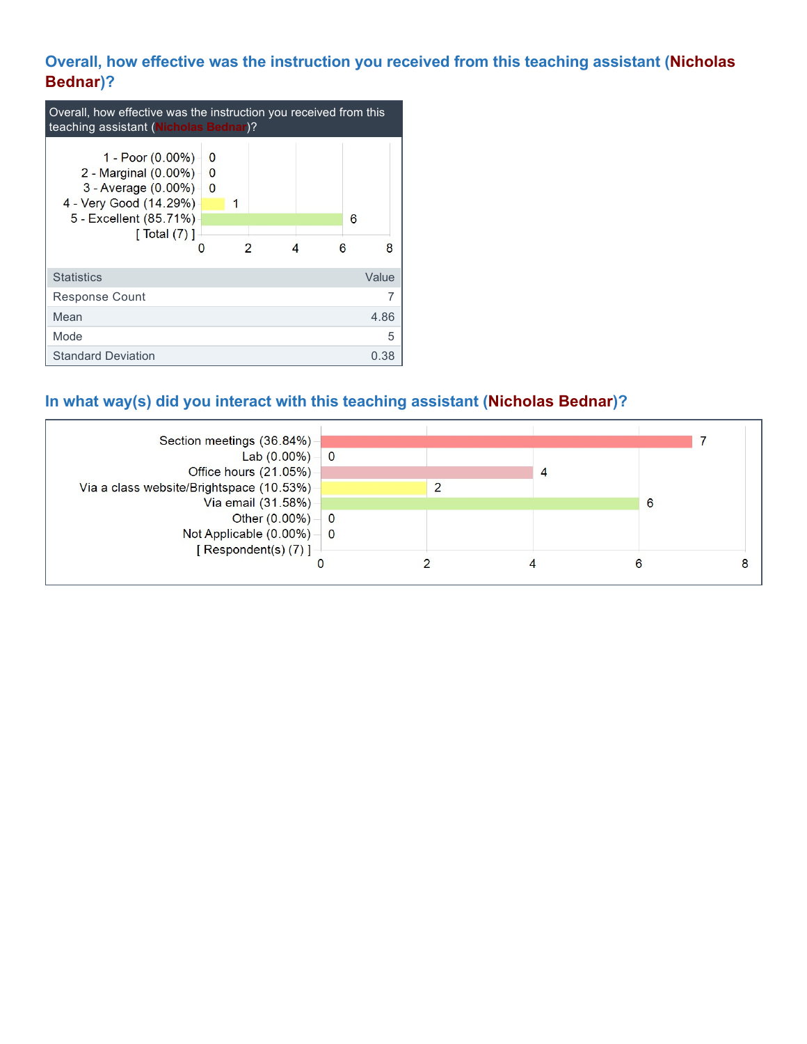### **Overall, how effective was the instruction you received from this teaching assistant (Nicholas Bednar)?**

| Overall, how effective was the instruction you received from this<br>teaching assistant (Nicholas Bednar)?                                    |                                        |   |   |  |   |        |  |
|-----------------------------------------------------------------------------------------------------------------------------------------------|----------------------------------------|---|---|--|---|--------|--|
| 1 - Poor (0.00%) -<br>2 - Marginal (0.00%) -<br>3 - Average $(0.00\%)$<br>4 - Very Good (14.29%)<br>5 - Excellent (85.71%)<br>[ Total $(7)$ ] | $\Omega$<br>$\bf{0}$<br>$\overline{0}$ | 1 | 2 |  | R | 6<br>8 |  |
| <b>Statistics</b>                                                                                                                             |                                        |   |   |  |   | Value  |  |
| <b>Response Count</b>                                                                                                                         |                                        |   |   |  |   |        |  |
| Mean                                                                                                                                          |                                        |   |   |  |   | 4.86   |  |
| Mode                                                                                                                                          |                                        |   |   |  |   | 5      |  |
| <b>Standard Deviation</b>                                                                                                                     |                                        |   |   |  |   | 0.38   |  |

## **In what way(s) did you interact with this teaching assistant (Nicholas Bednar)?**

| Section meetings (36.84%)                 |  |   |   |
|-------------------------------------------|--|---|---|
| Lab $(0.00\%) - 0$                        |  |   |   |
| Office hours (21.05%)                     |  | 4 |   |
| Via a class website/Brightspace (10.53%)  |  |   |   |
| Via email (31.58%)                        |  |   | 6 |
| Other $(0.00\%)$ – 0                      |  |   |   |
| Not Applicable $(0.00\%)$ $\rightarrow$ 0 |  |   |   |
| [ Respondent(s) $(7)$ ]                   |  |   |   |
|                                           |  |   |   |
|                                           |  |   |   |